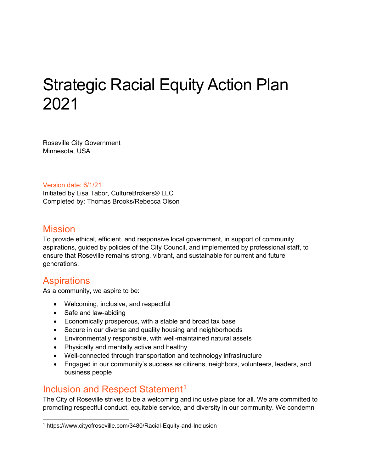# Strategic Racial Equity Action Plan 2021

Roseville City Government Minnesota, USA

Version date: 6/1/21

Initiated by Lisa Tabor, CultureBrokers® LLC Completed by: Thomas Brooks/Rebecca Olson

#### **Mission**

To provide ethical, efficient, and responsive local government, in support of community aspirations, guided by policies of the City Council, and implemented by professional staff, to ensure that Roseville remains strong, vibrant, and sustainable for current and future generations.

## Aspirations

As a community, we aspire to be:

- Welcoming, inclusive, and respectful
- Safe and law-abiding
- Economically prosperous, with a stable and broad tax base
- Secure in our diverse and quality housing and neighborhoods
- Environmentally responsible, with well-maintained natural assets
- Physically and mentally active and healthy
- Well-connected through transportation and technology infrastructure
- Engaged in our community's success as citizens, neighbors, volunteers, leaders, and business people

## Inclusion and Respect Statement<sup>[1](#page-0-0)</sup>

The City of Roseville strives to be a welcoming and inclusive place for all. We are committed to promoting respectful conduct, equitable service, and diversity in our community. We condemn

<span id="page-0-0"></span> <sup>1</sup> https://www.cityofroseville.com/3480/Racial-Equity-and-Inclusion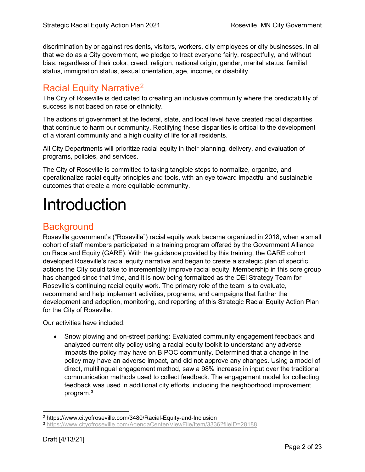discrimination by or against residents, visitors, workers, city employees or city businesses. In all that we do as a City government, we pledge to treat everyone fairly, respectfully, and without bias, regardless of their color, creed, religion, national origin, gender, marital status, familial status, immigration status, sexual orientation, age, income, or disability.

## Racial Equity Narrative[2](#page-1-0)

The City of Roseville is dedicated to creating an inclusive community where the predictability of success is not based on race or ethnicity.

The actions of government at the federal, state, and local level have created racial disparities that continue to harm our community. Rectifying these disparities is critical to the development of a vibrant community and a high quality of life for all residents.

All City Departments will prioritize racial equity in their planning, delivery, and evaluation of programs, policies, and services.

The City of Roseville is committed to taking tangible steps to normalize, organize, and operationalize racial equity principles and tools, with an eye toward impactful and sustainable outcomes that create a more equitable community.

## Introduction

## **Background**

Roseville government's ("Roseville") racial equity work became organized in 2018, when a small cohort of staff members participated in a training program offered by the Government Alliance on Race and Equity (GARE). With the guidance provided by this training, the GARE cohort developed Roseville's racial equity narrative and began to create a strategic plan of specific actions the City could take to incrementally improve racial equity. Membership in this core group has changed since that time, and it is now being formalized as the DEI Strategy Team for Roseville's continuing racial equity work. The primary role of the team is to evaluate, recommend and help implement activities, programs, and campaigns that further the development and adoption, monitoring, and reporting of this Strategic Racial Equity Action Plan for the City of Roseville.

Our activities have included:

• Snow plowing and on-street parking: Evaluated community engagement feedback and analyzed current city policy using a racial equity toolkit to understand any adverse impacts the policy may have on BIPOC community. Determined that a change in the policy may have an adverse impact, and did not approve any changes. Using a model of direct, multilingual engagement method, saw a 98% increase in input over the traditional communication methods used to collect feedback. The engagement model for collecting feedback was used in additional city efforts, including the neighborhood improvement program.<sup>[3](#page-1-1)</sup>

 <sup>2</sup> https://www.cityofroseville.com/3480/Racial-Equity-and-Inclusion

<span id="page-1-1"></span><span id="page-1-0"></span><sup>3</sup> <https://www.cityofroseville.com/AgendaCenter/ViewFile/Item/3336?fileID=28188>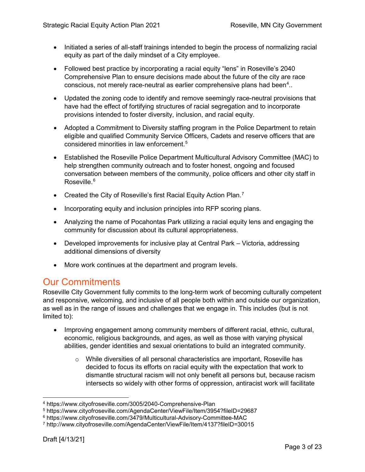- Initiated a series of all-staff trainings intended to begin the process of normalizing racial equity as part of the daily mindset of a City employee.
- Followed best practice by incorporating a racial equity "lens" in Roseville's 2040 Comprehensive Plan to ensure decisions made about the future of the city are race conscious, not merely race-neutral as earlier comprehensive plans had been $\hbox{}^4..$  $\hbox{}^4..$  $\hbox{}^4..$
- Updated the zoning code to identify and remove seemingly race-neutral provisions that have had the effect of fortifying structures of racial segregation and to incorporate provisions intended to foster diversity, inclusion, and racial equity.
- Adopted a Commitment to Diversity staffing program in the Police Department to retain eligible and qualified Community Service Officers, Cadets and reserve officers that are considered minorities in law enforcement.[5](#page-2-1)
- Established the Roseville Police Department Multicultural Advisory Committee (MAC) to help strengthen community outreach and to foster honest, ongoing and focused conversation between members of the community, police officers and other city staff in Roseville.<sup>[6](#page-2-2)</sup>
- Created the City of Roseville's first Racial Equity Action Plan.<sup>[7](#page-2-3)</sup>
- Incorporating equity and inclusion principles into RFP scoring plans.
- Analyzing the name of Pocahontas Park utilizing a racial equity lens and engaging the community for discussion about its cultural appropriateness.
- Developed improvements for inclusive play at Central Park Victoria, addressing additional dimensions of diversity
- More work continues at the department and program levels.

## Our Commitments

Roseville City Government fully commits to the long-term work of becoming culturally competent and responsive, welcoming, and inclusive of all people both within and outside our organization, as well as in the range of issues and challenges that we engage in. This includes (but is not limited to):

- Improving engagement among community members of different racial, ethnic, cultural, economic, religious backgrounds, and ages, as well as those with varying physical abilities, gender identities and sexual orientations to build an integrated community.
	- $\circ$  While diversities of all personal characteristics are important, Roseville has decided to focus its efforts on racial equity with the expectation that work to dismantle structural racism will not only benefit all persons but, because racism intersects so widely with other forms of oppression, antiracist work will facilitate

<span id="page-2-0"></span> <sup>4</sup> https://www.cityofroseville.com/3005/2040-Comprehensive-Plan

<span id="page-2-1"></span><sup>5</sup> https://www.cityofroseville.com/AgendaCenter/ViewFile/Item/3954?fileID=29687

<span id="page-2-2"></span><sup>6</sup> https://www.cityofroseville.com/3479/Multicultural-Advisory-Committee-MAC

<span id="page-2-3"></span><sup>7</sup> http://www.cityofroseville.com/AgendaCenter/ViewFile/Item/4137?fileID=30015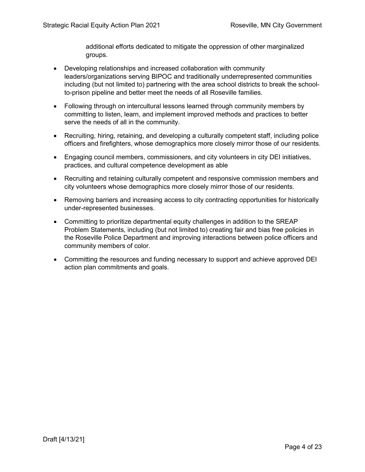additional efforts dedicated to mitigate the oppression of other marginalized groups.

- Developing relationships and increased collaboration with community leaders/organizations serving BIPOC and traditionally underrepresented communities including (but not limited to) partnering with the area school districts to break the schoolto-prison pipeline and better meet the needs of all Roseville families.
- Following through on intercultural lessons learned through community members by committing to listen, learn, and implement improved methods and practices to better serve the needs of all in the community.
- Recruiting, hiring, retaining, and developing a culturally competent staff, including police officers and firefighters, whose demographics more closely mirror those of our residents.
- Engaging council members, commissioners, and city volunteers in city DEI initiatives, practices, and cultural competence development as able
- Recruiting and retaining culturally competent and responsive commission members and city volunteers whose demographics more closely mirror those of our residents.
- Removing barriers and increasing access to city contracting opportunities for historically under-represented businesses.
- Committing to prioritize departmental equity challenges in addition to the SREAP Problem Statements, including (but not limited to) creating fair and bias free policies in the Roseville Police Department and improving interactions between police officers and community members of color.
- Committing the resources and funding necessary to support and achieve approved DEI action plan commitments and goals.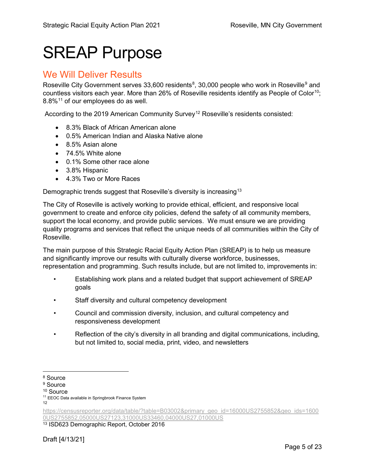## SREAP Purpose

#### We Will Deliver Results

Roseville City Government serves 33,600 residents $^8$  $^8$ , 30,000 people who work in Roseville $^9$  $^9$  and countless visitors each year. More than 26% of Roseville residents identify as People of Color<sup>[10](#page-4-2)</sup>; 8.8%[11](#page-4-3) of our employees do as well.

According to the 2019 American Community Survey<sup>[12](#page-4-4)</sup> Roseville's residents consisted:

- 8.3% Black of African American alone
- 0.5% American Indian and Alaska Native alone
- 8.5% Asian alone
- 74.5% White alone
- 0.1% Some other race alone
- 3.8% Hispanic
- 4.3% Two or More Races

Demographic trends suggest that Roseville's diversity is increasing<sup>[13](#page-4-5)</sup>

The City of Roseville is actively working to provide ethical, efficient, and responsive local government to create and enforce city policies, defend the safety of all community members, support the local economy, and provide public services. We must ensure we are providing quality programs and services that reflect the unique needs of all communities within the City of Roseville.

The main purpose of this Strategic Racial Equity Action Plan (SREAP) is to help us measure and significantly improve our results with culturally diverse workforce, businesses, representation and programming. Such results include, but are not limited to, improvements in:

- Establishing work plans and a related budget that support achievement of SREAP goals
- Staff diversity and cultural competency development
- Council and commission diversity, inclusion, and cultural competency and responsiveness development
- Reflection of the city's diversity in all branding and digital communications, including, but not limited to, social media, print, video, and newsletters

<span id="page-4-5"></span><sup>13</sup> ISD623 Demographic Report, October 2016

<span id="page-4-0"></span> <sup>8</sup> Source

<span id="page-4-1"></span><sup>&</sup>lt;sup>9</sup> Source

<span id="page-4-2"></span><sup>10</sup> Source

<span id="page-4-3"></span><sup>&</sup>lt;sup>11</sup> EEOC Data available in Springbrook Finance System

<sup>12</sup>

<span id="page-4-4"></span>[https://censusreporter.org/data/table/?table=B03002&primary\\_geo\\_id=16000US2755852&geo\\_ids=1600](https://censusreporter.org/data/table/?table=B03002&primary_geo_id=16000US2755852&geo_ids=16000US2755852,05000US27123,31000US33460,04000US27,01000US) [0US2755852,05000US27123,31000US33460,04000US27,01000US](https://censusreporter.org/data/table/?table=B03002&primary_geo_id=16000US2755852&geo_ids=16000US2755852,05000US27123,31000US33460,04000US27,01000US)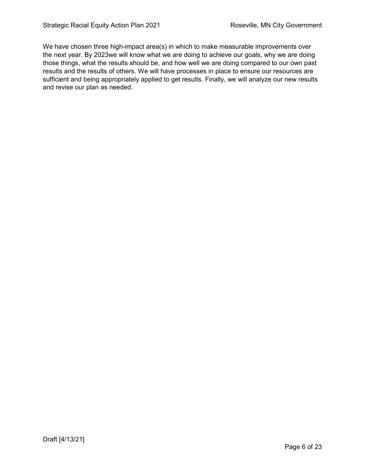We have chosen three high-impact area(s) in which to make measurable improvements over the next year. By 2023we will know what we are doing to achieve our goals, why we are doing those things, what the results should be, and how well we are doing compared to our own past results and the results of others. We will have processes in place to ensure our resources are sufficient and being appropriately applied to get results. Finally, we will analyze our new results and revise our plan as needed.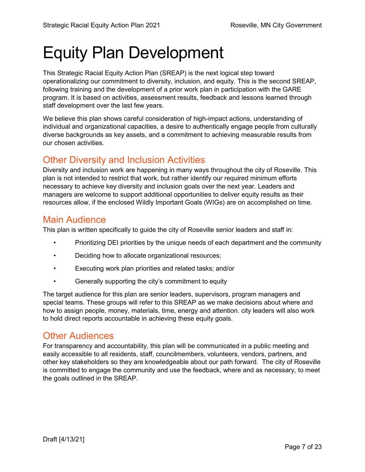# Equity Plan Development

This Strategic Racial Equity Action Plan (SREAP) is the next logical step toward operationalizing our commitment to diversity, inclusion, and equity. This is the second SREAP, following training and the development of a prior work plan in participation with the GARE program. It is based on activities, assessment results, feedback and lessons learned through staff development over the last few years.

We believe this plan shows careful consideration of high-impact actions, understanding of individual and organizational capacities, a desire to authentically engage people from culturally diverse backgrounds as key assets, and a commitment to achieving measurable results from our chosen activities.

## Other Diversity and Inclusion Activities

Diversity and inclusion work are happening in many ways throughout the city of Roseville. This plan is not intended to restrict that work, but rather identify our required minimum efforts necessary to achieve key diversity and inclusion goals over the next year. Leaders and managers are welcome to support additional opportunities to deliver equity results as their resources allow, if the enclosed Wildly Important Goals (WIGs) are on accomplished on time.

## Main Audience

This plan is written specifically to guide the city of Roseville senior leaders and staff in:

- Prioritizing DEI priorities by the unique needs of each department and the community
- Deciding how to allocate organizational resources;
- Executing work plan priorities and related tasks; and/or
- Generally supporting the city's commitment to equity

The target audience for this plan are senior leaders, supervisors, program managers and special teams. These groups will refer to this SREAP as we make decisions about where and how to assign people, money, materials, time, energy and attention. city leaders will also work to hold direct reports accountable in achieving these equity goals.

#### Other Audiences

For transparency and accountability, this plan will be communicated in a public meeting and easily accessible to all residents, staff, councilmembers, volunteers, vendors, partners, and other key stakeholders so they are knowledgeable about our path forward. The city of Roseville is committed to engage the community and use the feedback, where and as necessary, to meet the goals outlined in the SREAP.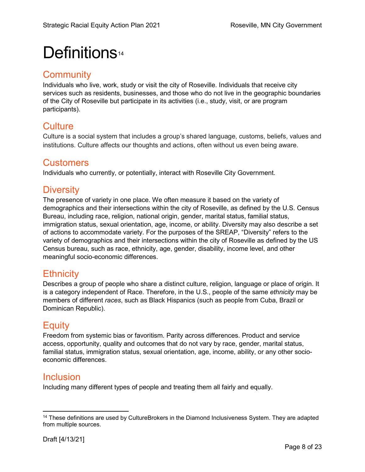## Definitions<sup>[14](#page-7-0)</sup>

#### **Community**

Individuals who live, work, study or visit the city of Roseville. Individuals that receive city services such as residents, businesses, and those who do not live in the geographic boundaries of the City of Roseville but participate in its activities (i.e., study, visit, or are program participants).

## **Culture**

Culture is a social system that includes a group's shared language, customs, beliefs, values and institutions. Culture affects our thoughts and actions, often without us even being aware.

## **Customers**

Individuals who currently, or potentially, interact with Roseville City Government.

## **Diversity**

The presence of variety in one place. We often measure it based on the variety of demographics and their intersections within the city of Roseville, as defined by the U.S. Census Bureau, including race, religion, national origin, gender, marital status, familial status, immigration status, sexual orientation, age, income, or ability. Diversity may also describe a set of actions to accommodate variety. For the purposes of the SREAP, "Diversity" refers to the variety of demographics and their intersections within the city of Roseville as defined by the US Census bureau, such as race, ethnicity, age, gender, disability, income level, and other meaningful socio-economic differences.

## **Ethnicity**

Describes a group of people who share a distinct culture, religion, language or place of origin. It is a category independent of Race. Therefore, in the U.S., people of the same *ethnicity* may be members of different *races*, such as Black Hispanics (such as people from Cuba, Brazil or Dominican Republic).

## **Equity**

Freedom from systemic bias or favoritism. Parity across differences. Product and service access, opportunity, quality and outcomes that do not vary by race, gender, marital status, familial status, immigration status, sexual orientation, age, income, ability, or any other socioeconomic differences.

## Inclusion

Including many different types of people and treating them all fairly and equally.

<span id="page-7-0"></span> $14$  These definitions are used by CultureBrokers in the Diamond Inclusiveness System. They are adapted from multiple sources.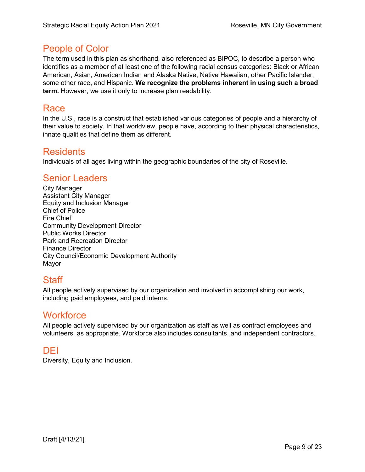#### People of Color

The term used in this plan as shorthand, also referenced as BIPOC, to describe a person who identifies as a member of at least one of the following racial census categories: Black or African American, Asian, American Indian and Alaska Native, Native Hawaiian, other Pacific Islander, some other race, and Hispanic. **We recognize the problems inherent in using such a broad term.** However, we use it only to increase plan readability.

#### Race

In the U.S., race is a construct that established various categories of people and a hierarchy of their value to society. In that worldview, people have, according to their physical characteristics, innate qualities that define them as different.

#### **Residents**

Individuals of all ages living within the geographic boundaries of the city of Roseville.

#### Senior Leaders

City Manager Assistant City Manager Equity and Inclusion Manager Chief of Police Fire Chief Community Development Director Public Works Director Park and Recreation Director Finance Director City Council/Economic Development Authority Mayor

## Staff

All people actively supervised by our organization and involved in accomplishing our work, including paid employees, and paid interns.

#### **Workforce**

All people actively supervised by our organization as staff as well as contract employees and volunteers, as appropriate. Workforce also includes consultants, and independent contractors.

## DEI

Diversity, Equity and Inclusion.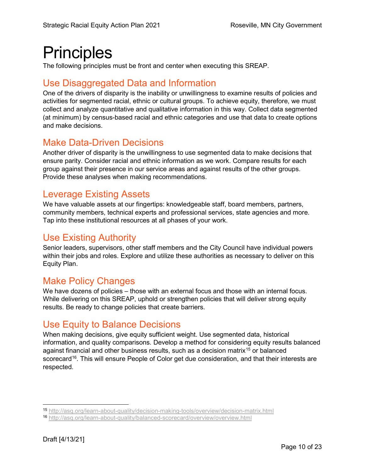## **Principles**

The following principles must be front and center when executing this SREAP.

## Use Disaggregated Data and Information

One of the drivers of disparity is the inability or unwillingness to examine results of policies and activities for segmented racial, ethnic or cultural groups. To achieve equity, therefore, we must collect and analyze quantitative and qualitative information in this way. Collect data segmented (at minimum) by census-based racial and ethnic categories and use that data to create options and make decisions.

## Make Data-Driven Decisions

Another driver of disparity is the unwillingness to use segmented data to make decisions that ensure parity. Consider racial and ethnic information as we work. Compare results for each group against their presence in our service areas and against results of the other groups. Provide these analyses when making recommendations.

## Leverage Existing Assets

We have valuable assets at our fingertips: knowledgeable staff, board members, partners, community members, technical experts and professional services, state agencies and more. Tap into these institutional resources at all phases of your work.

## Use Existing Authority

Senior leaders, supervisors, other staff members and the City Council have individual powers within their jobs and roles. Explore and utilize these authorities as necessary to deliver on this Equity Plan.

## Make Policy Changes

We have dozens of policies – those with an external focus and those with an internal focus. While delivering on this SREAP, uphold or strengthen policies that will deliver strong equity results. Be ready to change policies that create barriers.

## Use Equity to Balance Decisions

When making decisions, give equity sufficient weight. Use segmented data, historical information, and quality comparisons. Develop a method for considering equity results balanced against financial and other business results, such as a decision matrix<sup>[15](#page-9-0)</sup> or balanced scorecard<sup>16</sup>. This will ensure People of Color get due consideration, and that their interests are respected.

<span id="page-9-0"></span> <sup>15</sup> <http://asq.org/learn-about-quality/decision-making-tools/overview/decision-matrix.html>

<span id="page-9-1"></span><sup>16</sup> <http://asq.org/learn-about-quality/balanced-scorecard/overview/overview.html>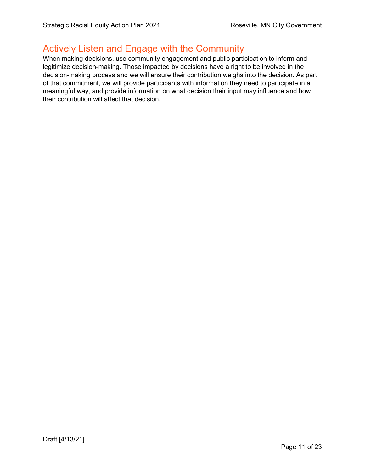#### Actively Listen and Engage with the Community

When making decisions, use community engagement and public participation to inform and legitimize decision-making. Those impacted by decisions have a right to be involved in the decision-making process and we will ensure their contribution weighs into the decision. As part of that commitment, we will provide participants with information they need to participate in a meaningful way, and provide information on what decision their input may influence and how their contribution will affect that decision.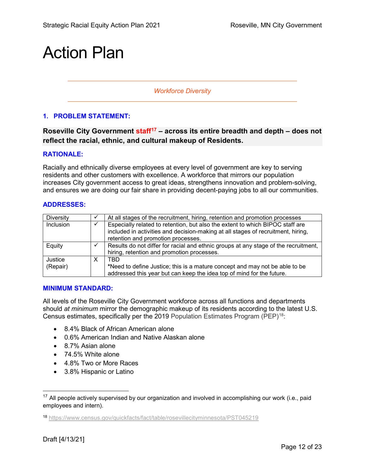## Action Plan

*Workforce Diversity*

#### **1. PROBLEM STATEMENT:**

**Roseville City Government staff[17](#page-11-0) – across its entire breadth and depth – does not reflect the racial, ethnic, and cultural makeup of Residents.**

#### **RATIONALE:**

Racially and ethnically diverse employees at every level of government are key to serving residents and other customers with excellence. A workforce that mirrors our population increases City government access to great ideas, strengthens innovation and problem-solving, and ensures we are doing our fair share in providing decent-paying jobs to all our communities.

#### **ADDRESSES:**

| Diversity |   | At all stages of the recruitment, hiring, retention and promotion processes         |
|-----------|---|-------------------------------------------------------------------------------------|
| Inclusion |   | Especially related to retention, but also the extent to which BIPOC staff are       |
|           |   | included in activities and decision-making at all stages of recruitment, hiring,    |
|           |   | retention and promotion processes.                                                  |
| Equity    |   | Results do not differ for racial and ethnic groups at any stage of the recruitment, |
|           |   | hiring, retention and promotion processes.                                          |
| Justice   | x | TRD                                                                                 |
| (Repair)  |   | *Need to define Justice; this is a mature concept and may not be able to be         |
|           |   | addressed this year but can keep the idea top of mind for the future.               |

#### **MINIMUM STANDARD:**

All levels of the Roseville City Government workforce across all functions and departments should *at minimum* mirror the demographic makeup of its residents according to the latest U.S. Census estimates, specifically per the 2019 Population Estimates Program (PEP)<sup>18</sup>:

- 8.4% Black of African American alone
- 0.6% American Indian and Native Alaskan alone
- 8.7% Asian alone
- 74.5% White alone
- 4.8% Two or More Races
- 3.8% Hispanic or Latino

<span id="page-11-0"></span> $17$  All people actively supervised by our organization and involved in accomplishing our work (i.e., paid employees and intern).

<span id="page-11-1"></span><sup>18</sup> <https://www.census.gov/quickfacts/fact/table/rosevillecityminnesota/PST045219>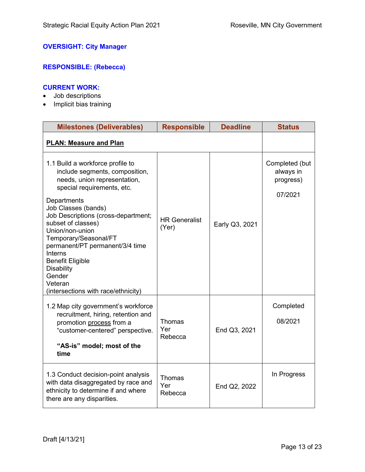#### **OVERSIGHT: City Manager**

#### **RESPONSIBLE: (Rebecca)**

#### **CURRENT WORK:**

- Job descriptions
- Implicit bias training

| <b>Milestones (Deliverables)</b>                                                                                                                                                                                                                                                                                                                                                                                                                 | <b>Responsible</b>              | <b>Deadline</b> | <b>Status</b>                                       |
|--------------------------------------------------------------------------------------------------------------------------------------------------------------------------------------------------------------------------------------------------------------------------------------------------------------------------------------------------------------------------------------------------------------------------------------------------|---------------------------------|-----------------|-----------------------------------------------------|
| <b>PLAN: Measure and Plan</b>                                                                                                                                                                                                                                                                                                                                                                                                                    |                                 |                 |                                                     |
| 1.1 Build a workforce profile to<br>include segments, composition,<br>needs, union representation,<br>special requirements, etc.<br>Departments<br>Job Classes (bands)<br>Job Descriptions (cross-department;<br>subset of classes)<br>Union/non-union<br>Temporary/Seasonal/FT<br>permanent/PT permanent/3/4 time<br><b>Interns</b><br><b>Benefit Eligible</b><br><b>Disability</b><br>Gender<br>Veteran<br>(intersections with race/ethnicity) | <b>HR Generalist</b><br>(Yer)   | Early Q3, 2021  | Completed (but<br>always in<br>progress)<br>07/2021 |
| 1.2 Map city government's workforce<br>recruitment, hiring, retention and<br>promotion process from a<br>"customer-centered" perspective.<br>"AS-is" model; most of the<br>time                                                                                                                                                                                                                                                                  | Thomas<br>Yer<br>Rebecca        | End Q3, 2021    | Completed<br>08/2021                                |
| 1.3 Conduct decision-point analysis<br>with data disaggregated by race and<br>ethnicity to determine if and where<br>there are any disparities.                                                                                                                                                                                                                                                                                                  | <b>Thomas</b><br>Yer<br>Rebecca | End Q2, 2022    | In Progress                                         |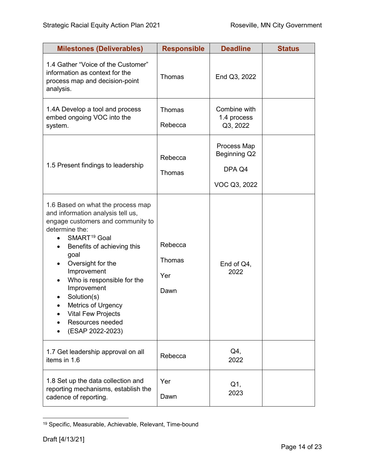| <b>Milestones (Deliverables)</b>                                                                                                                                                                                                                                                                                                                                                           | <b>Responsible</b>               | <b>Deadline</b>                                       | <b>Status</b> |
|--------------------------------------------------------------------------------------------------------------------------------------------------------------------------------------------------------------------------------------------------------------------------------------------------------------------------------------------------------------------------------------------|----------------------------------|-------------------------------------------------------|---------------|
| 1.4 Gather "Voice of the Customer"<br>information as context for the<br>process map and decision-point<br>analysis.                                                                                                                                                                                                                                                                        | Thomas                           | End Q3, 2022                                          |               |
| 1.4A Develop a tool and process<br>embed ongoing VOC into the<br>system.                                                                                                                                                                                                                                                                                                                   | <b>Thomas</b><br>Rebecca         | Combine with<br>1.4 process<br>Q3, 2022               |               |
| 1.5 Present findings to leadership                                                                                                                                                                                                                                                                                                                                                         | Rebecca<br>Thomas                | Process Map<br>Beginning Q2<br>DPA Q4<br>VOC Q3, 2022 |               |
| 1.6 Based on what the process map<br>and information analysis tell us,<br>engage customers and community to<br>determine the:<br>SMART <sup>19</sup> Goal<br>Benefits of achieving this<br>goal<br>Oversight for the<br>Improvement<br>Who is responsible for the<br>Improvement<br>Solution(s)<br>Metrics of Urgency<br><b>Vital Few Projects</b><br>Resources needed<br>(ESAP 2022-2023) | Rebecca<br>Thomas<br>Yer<br>Dawn | End of Q4,<br>2022                                    |               |
| 1.7 Get leadership approval on all<br>items in 1.6                                                                                                                                                                                                                                                                                                                                         | Rebecca                          | Q4,<br>2022                                           |               |
| 1.8 Set up the data collection and<br>reporting mechanisms, establish the<br>cadence of reporting.                                                                                                                                                                                                                                                                                         | Yer<br>Dawn                      | Q1,<br>2023                                           |               |

<span id="page-13-0"></span> <sup>19</sup> Specific, Measurable, Achievable, Relevant, Time-bound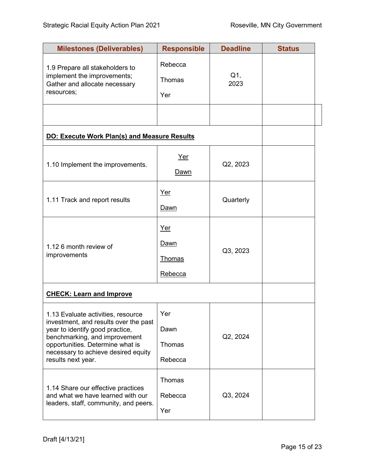| <b>Milestones (Deliverables)</b>                                                                                                                                                                                                                 | <b>Responsible</b>                      | <b>Deadline</b> | <b>Status</b> |
|--------------------------------------------------------------------------------------------------------------------------------------------------------------------------------------------------------------------------------------------------|-----------------------------------------|-----------------|---------------|
| 1.9 Prepare all stakeholders to<br>implement the improvements;<br>Gather and allocate necessary<br>resources;                                                                                                                                    | Rebecca<br><b>Thomas</b><br>Yer         | $Q1$ ,<br>2023  |               |
|                                                                                                                                                                                                                                                  |                                         |                 |               |
| <b>DO: Execute Work Plan(s) and Measure Results</b>                                                                                                                                                                                              |                                         |                 |               |
| 1.10 Implement the improvements.                                                                                                                                                                                                                 | Yer<br>Dawn                             | Q2, 2023        |               |
| 1.11 Track and report results                                                                                                                                                                                                                    | Yer<br>Dawn                             | Quarterly       |               |
| 1.12 6 month review of<br>improvements                                                                                                                                                                                                           | Yer<br>Dawn<br><b>Thomas</b><br>Rebecca | Q3, 2023        |               |
| <b>CHECK: Learn and Improve</b>                                                                                                                                                                                                                  |                                         |                 |               |
| 1.13 Evaluate activities, resource<br>investment, and results over the past<br>year to identify good practice,<br>benchmarking, and improvement<br>opportunities. Determine what is<br>necessary to achieve desired equity<br>results next year. | Yer<br>Dawn<br>Thomas<br>Rebecca        | Q2, 2024        |               |
| 1.14 Share our effective practices<br>and what we have learned with our<br>leaders, staff, community, and peers.                                                                                                                                 | Thomas<br>Rebecca<br>Yer                | Q3, 2024        |               |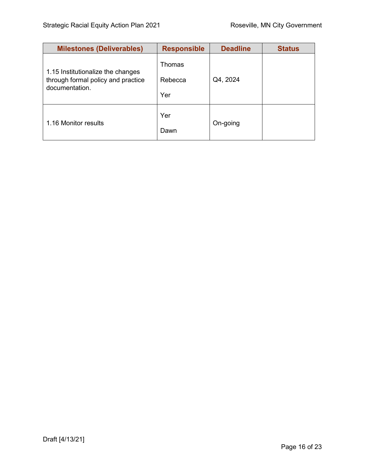| <b>Milestones (Deliverables)</b>                                                          | <b>Responsible</b>       | <b>Deadline</b> | <b>Status</b> |
|-------------------------------------------------------------------------------------------|--------------------------|-----------------|---------------|
| 1.15 Institutionalize the changes<br>through formal policy and practice<br>documentation. | Thomas<br>Rebecca<br>Yer | Q4, 2024        |               |
| 1.16 Monitor results                                                                      | Yer<br>Dawn              | On-going        |               |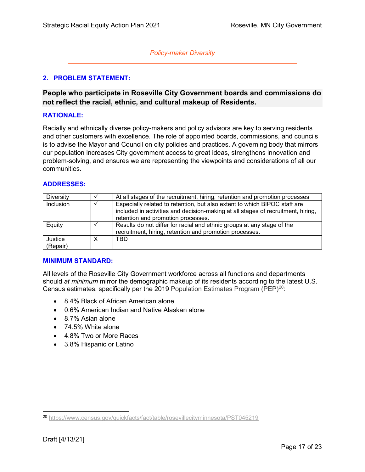#### *Policy-maker Diversity*

#### **2. PROBLEM STATEMENT:**

#### **People who participate in Roseville City Government boards and commissions do not reflect the racial, ethnic, and cultural makeup of Residents.**

#### **RATIONALE:**

Racially and ethnically diverse policy-makers and policy advisors are key to serving residents and other customers with excellence. The role of appointed boards, commissions, and councils is to advise the Mayor and Council on city policies and practices. A governing body that mirrors our population increases City government access to great ideas, strengthens innovation and problem-solving, and ensures we are representing the viewpoints and considerations of all our communities.

#### **ADDRESSES:**

| Diversity           |   | At all stages of the recruitment, hiring, retention and promotion processes                                                                                                                         |
|---------------------|---|-----------------------------------------------------------------------------------------------------------------------------------------------------------------------------------------------------|
| Inclusion           |   | Especially related to retention, but also extent to which BIPOC staff are<br>included in activities and decision-making at all stages of recruitment, hiring,<br>retention and promotion processes. |
| Equity              |   | Results do not differ for racial and ethnic groups at any stage of the<br>recruitment, hiring, retention and promotion processes.                                                                   |
| Justice<br>(Repair) | х | TBD                                                                                                                                                                                                 |

#### **MINIMUM STANDARD:**

All levels of the Roseville City Government workforce across all functions and departments should *at minimum* mirror the demographic makeup of its residents according to the latest U.S. Census estimates, specifically per the 2019 Population Estimates Program (PEP)<sup>20</sup>:

- 8.4% Black of African American alone
- 0.6% American Indian and Native Alaskan alone
- 8.7% Asian alone
- 74.5% White alone
- 4.8% Two or More Races
- 3.8% Hispanic or Latino

<span id="page-16-0"></span> <sup>20</sup> <https://www.census.gov/quickfacts/fact/table/rosevillecityminnesota/PST045219>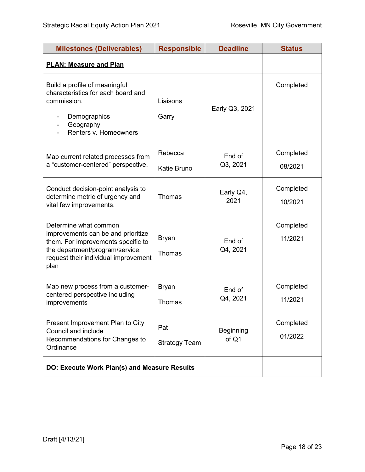| <b>Milestones (Deliverables)</b>                                                                                                                                                     | <b>Responsible</b>          | <b>Deadline</b>           | <b>Status</b>        |
|--------------------------------------------------------------------------------------------------------------------------------------------------------------------------------------|-----------------------------|---------------------------|----------------------|
| <b>PLAN: Measure and Plan</b>                                                                                                                                                        |                             |                           |                      |
| Build a profile of meaningful<br>characteristics for each board and<br>commission.<br>Demographics<br>Geography<br>Renters v. Homeowners                                             | Liaisons<br>Garry           | Early Q3, 2021            | Completed            |
| Map current related processes from<br>a "customer-centered" perspective.                                                                                                             | Rebecca<br>Katie Bruno      | End of<br>Q3, 2021        | Completed<br>08/2021 |
| Conduct decision-point analysis to<br>determine metric of urgency and<br>vital few improvements.                                                                                     | Thomas                      | Early Q4,<br>2021         | Completed<br>10/2021 |
| Determine what common<br>improvements can be and prioritize<br>them. For improvements specific to<br>the department/program/service,<br>request their individual improvement<br>plan | <b>Bryan</b><br>Thomas      | End of<br>Q4, 2021        | Completed<br>11/2021 |
| Map new process from a customer-<br>centered perspective including<br>improvements                                                                                                   | <b>Bryan</b><br>Thomas      | End of<br>Q4, 2021        | Completed<br>11/2021 |
| Present Improvement Plan to City<br>Council and include<br>Recommendations for Changes to<br>Ordinance                                                                               | Pat<br><b>Strategy Team</b> | <b>Beginning</b><br>of Q1 | Completed<br>01/2022 |
| <b>DO: Execute Work Plan(s) and Measure Results</b>                                                                                                                                  |                             |                           |                      |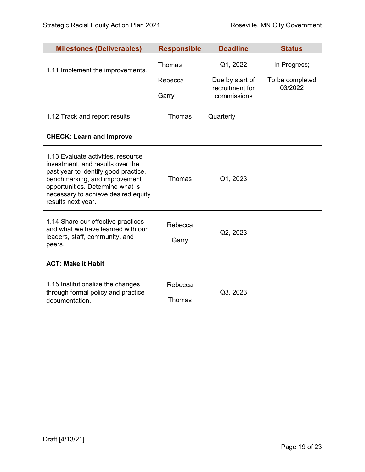| <b>Milestones (Deliverables)</b>                                                                                                                                                                                                                 | <b>Responsible</b> | <b>Deadline</b>                    | <b>Status</b>              |
|--------------------------------------------------------------------------------------------------------------------------------------------------------------------------------------------------------------------------------------------------|--------------------|------------------------------------|----------------------------|
| 1.11 Implement the improvements.                                                                                                                                                                                                                 | Thomas             | Q1, 2022                           | In Progress;               |
|                                                                                                                                                                                                                                                  | Rebecca            | Due by start of<br>recruitment for | To be completed<br>03/2022 |
|                                                                                                                                                                                                                                                  | Garry              | commissions                        |                            |
| 1.12 Track and report results                                                                                                                                                                                                                    | Thomas             | Quarterly                          |                            |
| <b>CHECK: Learn and Improve</b>                                                                                                                                                                                                                  |                    |                                    |                            |
| 1.13 Evaluate activities, resource<br>investment, and results over the<br>past year to identify good practice,<br>benchmarking, and improvement<br>opportunities. Determine what is<br>necessary to achieve desired equity<br>results next year. | Thomas             | Q1, 2023                           |                            |
| 1.14 Share our effective practices<br>and what we have learned with our                                                                                                                                                                          | Rebecca            |                                    |                            |
| leaders, staff, community, and<br>peers.                                                                                                                                                                                                         | Garry              | Q2, 2023                           |                            |
| <b>ACT: Make it Habit</b>                                                                                                                                                                                                                        |                    |                                    |                            |
| 1.15 Institutionalize the changes<br>through formal policy and practice                                                                                                                                                                          | Rebecca            | Q3, 2023                           |                            |
| documentation.                                                                                                                                                                                                                                   | <b>Thomas</b>      |                                    |                            |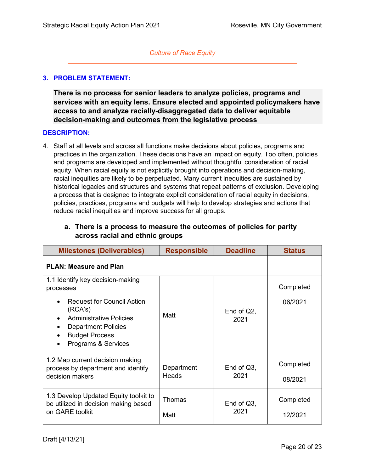#### *Culture of Race Equity*

#### **3. PROBLEM STATEMENT:**

**There is no process for senior leaders to analyze policies, programs and services with an equity lens. Ensure elected and appointed policymakers have access to and analyze racially-disaggregated data to deliver equitable decision-making and outcomes from the legislative process**

#### **DESCRIPTION:**

4. Staff at all levels and across all functions make decisions about policies, programs and practices in the organization. These decisions have an impact on equity. Too often, policies and programs are developed and implemented without thoughtful consideration of racial equity. When racial equity is not explicitly brought into operations and decision-making, racial inequities are likely to be perpetuated. Many current inequities are sustained by historical legacies and structures and systems that repeat patterns of exclusion. Developing a process that is designed to integrate explicit consideration of racial equity in decisions, policies, practices, programs and budgets will help to develop strategies and actions that reduce racial inequities and improve success for all groups.

#### **a. There is a process to measure the outcomes of policies for parity across racial and ethnic groups**

| <b>Milestones (Deliverables)</b>                                                                                                                                                                                                        | <b>Responsible</b>    | <b>Deadline</b>       | <b>Status</b>        |
|-----------------------------------------------------------------------------------------------------------------------------------------------------------------------------------------------------------------------------------------|-----------------------|-----------------------|----------------------|
| <b>PLAN: Measure and Plan</b>                                                                                                                                                                                                           |                       |                       |                      |
| 1.1 Identify key decision-making<br>processes<br><b>Request for Council Action</b><br>(RCA's)<br><b>Administrative Policies</b><br><b>Department Policies</b><br>$\bullet$<br><b>Budget Process</b><br>Programs & Services<br>$\bullet$ | Matt                  | End of $Q2$ ,<br>2021 | Completed<br>06/2021 |
| 1.2 Map current decision making<br>process by department and identify<br>decision makers                                                                                                                                                | Department<br>Heads   | End of $Q3$ ,<br>2021 | Completed<br>08/2021 |
| 1.3 Develop Updated Equity toolkit to<br>be utilized in decision making based<br>on GARE toolkit                                                                                                                                        | <b>Thomas</b><br>Matt | End of $Q3$ ,<br>2021 | Completed<br>12/2021 |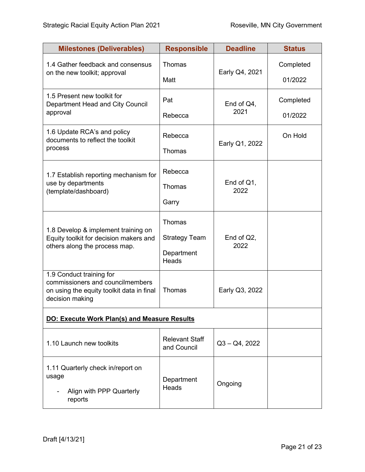| <b>Milestones (Deliverables)</b>                                                                                             | <b>Responsible</b>                                    | <b>Deadline</b>       | <b>Status</b>        |
|------------------------------------------------------------------------------------------------------------------------------|-------------------------------------------------------|-----------------------|----------------------|
| 1.4 Gather feedback and consensus<br>on the new toolkit; approval                                                            | Thomas<br>Matt                                        | Early Q4, 2021        | Completed<br>01/2022 |
| 1.5 Present new toolkit for<br>Department Head and City Council<br>approval                                                  | Pat<br>Rebecca                                        | End of $Q4$ ,<br>2021 | Completed<br>01/2022 |
| 1.6 Update RCA's and policy<br>documents to reflect the toolkit<br>process                                                   | Rebecca<br><b>Thomas</b>                              | Early Q1, 2022        | On Hold              |
| 1.7 Establish reporting mechanism for<br>use by departments<br>(template/dashboard)                                          | Rebecca<br><b>Thomas</b><br>Garry                     | End of $Q1$ ,<br>2022 |                      |
| 1.8 Develop & implement training on<br>Equity toolkit for decision makers and<br>others along the process map.               | Thomas<br><b>Strategy Team</b><br>Department<br>Heads | End of $Q2$ ,<br>2022 |                      |
| 1.9 Conduct training for<br>commissioners and councilmembers<br>on using the equity toolkit data in final<br>decision making | Thomas                                                | Early Q3, 2022        |                      |
|                                                                                                                              | <b>DO: Execute Work Plan(s) and Measure Results</b>   |                       |                      |
| 1.10 Launch new toolkits                                                                                                     | <b>Relevant Staff</b><br>and Council                  | $Q3 - Q4$ , 2022      |                      |
| 1.11 Quarterly check in/report on<br>usage<br>Align with PPP Quarterly<br>reports                                            | Department<br><b>Heads</b>                            | Ongoing               |                      |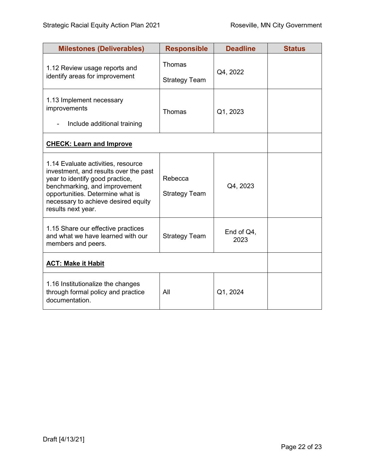| <b>Milestones (Deliverables)</b>                                                                                                                                                                                                                 | <b>Responsible</b>                    | <b>Deadline</b>       | <b>Status</b> |
|--------------------------------------------------------------------------------------------------------------------------------------------------------------------------------------------------------------------------------------------------|---------------------------------------|-----------------------|---------------|
| 1.12 Review usage reports and<br>identify areas for improvement                                                                                                                                                                                  | <b>Thomas</b><br><b>Strategy Team</b> | Q4, 2022              |               |
| 1.13 Implement necessary<br>improvements<br>Include additional training                                                                                                                                                                          | Thomas                                | Q1, 2023              |               |
| <b>CHECK: Learn and Improve</b>                                                                                                                                                                                                                  |                                       |                       |               |
| 1.14 Evaluate activities, resource<br>investment, and results over the past<br>year to identify good practice,<br>benchmarking, and improvement<br>opportunities. Determine what is<br>necessary to achieve desired equity<br>results next year. | Rebecca<br><b>Strategy Team</b>       | Q4, 2023              |               |
| 1.15 Share our effective practices<br>and what we have learned with our<br>members and peers.                                                                                                                                                    | <b>Strategy Team</b>                  | End of $Q4$ ,<br>2023 |               |
| <b>ACT: Make it Habit</b>                                                                                                                                                                                                                        |                                       |                       |               |
| 1.16 Institutionalize the changes<br>through formal policy and practice<br>documentation.                                                                                                                                                        | All                                   | Q1, 2024              |               |